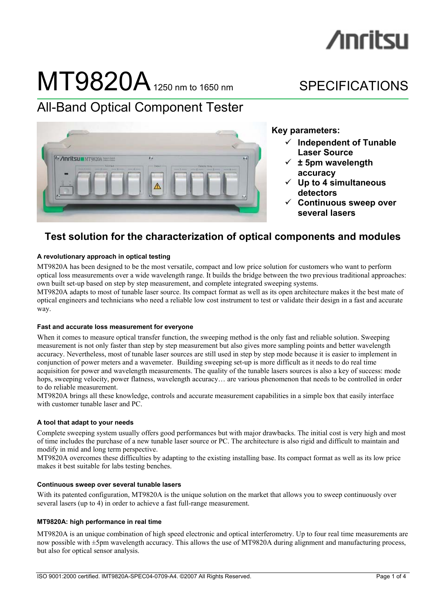# **/inritsu**

# $MT9820A$  1250 nm to 1650 nm SPECIFICATIONS

# All-Band Optical Component Tester



**Key parameters:** 

- 9 **Independent of Tunable Laser Source**
- $\checkmark$   $\pm$  5pm wavelength **accuracy**
- 9 **Up to 4 simultaneous detectors**
- 9 **Continuous sweep over several lasers**

# **Test solution for the characterization of optical components and modules**

# **A revolutionary approach in optical testing**

MT9820A has been designed to be the most versatile, compact and low price solution for customers who want to perform optical loss measurements over a wide wavelength range. It builds the bridge between the two previous traditional approaches: own built set-up based on step by step measurement, and complete integrated sweeping systems.

MT9820A adapts to most of tunable laser source. Its compact format as well as its open architecture makes it the best mate of optical engineers and technicians who need a reliable low cost instrument to test or validate their design in a fast and accurate way.

# **Fast and accurate loss measurement for everyone**

When it comes to measure optical transfer function, the sweeping method is the only fast and reliable solution. Sweeping measurement is not only faster than step by step measurement but also gives more sampling points and better wavelength accuracy. Nevertheless, most of tunable laser sources are still used in step by step mode because it is easier to implement in conjunction of power meters and a wavemeter. Building sweeping set-up is more difficult as it needs to do real time acquisition for power and wavelength measurements. The quality of the tunable lasers sources is also a key of success: mode hops, sweeping velocity, power flatness, wavelength accuracy… are various phenomenon that needs to be controlled in order to do reliable measurement.

MT9820A brings all these knowledge, controls and accurate measurement capabilities in a simple box that easily interface with customer tunable laser and PC.

# **A tool that adapt to your needs**

Complete sweeping system usually offers good performances but with major drawbacks. The initial cost is very high and most of time includes the purchase of a new tunable laser source or PC. The architecture is also rigid and difficult to maintain and modify in mid and long term perspective.

MT9820A overcomes these difficulties by adapting to the existing installing base. Its compact format as well as its low price makes it best suitable for labs testing benches.

# **Continuous sweep over several tunable lasers**

With its patented configuration, MT9820A is the unique solution on the market that allows you to sweep continuously over several lasers (up to 4) in order to achieve a fast full-range measurement.

# **MT9820A: high performance in real time**

MT9820A is an unique combination of high speed electronic and optical interferometry. Up to four real time measurements are now possible with ±5pm wavelength accuracy. This allows the use of MT9820A during alignment and manufacturing process, but also for optical sensor analysis.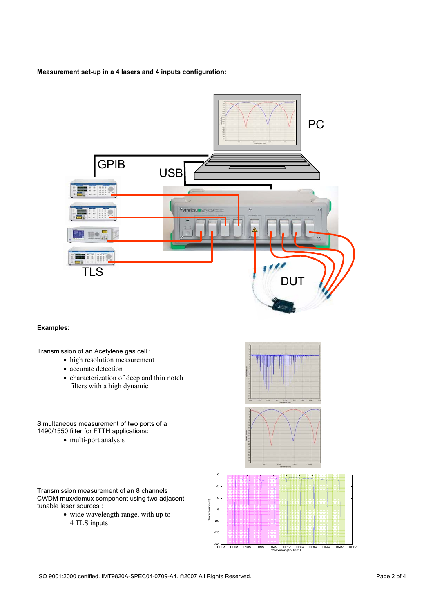## **Measurement set-up in a 4 lasers and 4 inputs configuration:**



# **Examples:**

Transmission of an Acetylene gas cell :

- high resolution measurement
- accurate detection
- characterization of deep and thin notch filters with a high dynamic

Simultaneous measurement of two ports of a 1490/1550 filter for FTTH applications:

• multi-port analysis

Transmission measurement of an 8 channels CWDM mux/demux component using two adjacent tunable laser sources :

• wide wavelength range, with up to 4 TLS inputs

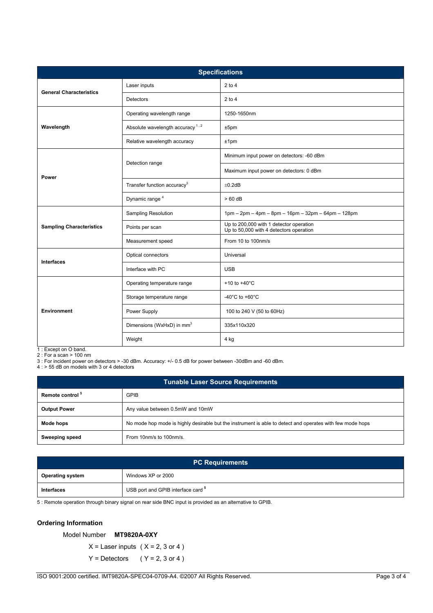| <b>Specifications</b>           |                                             |                                                                                    |  |
|---------------------------------|---------------------------------------------|------------------------------------------------------------------------------------|--|
| <b>General Characteristics</b>  | Laser inputs                                | $2$ to $4$                                                                         |  |
|                                 | Detectors                                   | $2$ to 4                                                                           |  |
| Wavelength                      | Operating wavelength range                  | 1250-1650nm                                                                        |  |
|                                 | Absolute wavelength accuracy <sup>1,2</sup> | ±5pm                                                                               |  |
|                                 | Relative wavelength accuracy                | ±1pm                                                                               |  |
| Power                           | Detection range                             | Minimum input power on detectors: -60 dBm                                          |  |
|                                 |                                             | Maximum input power on detectors: 0 dBm                                            |  |
|                                 | Transfer function accuracy <sup>3</sup>     | ±0.2dB                                                                             |  |
|                                 | Dynamic range <sup>4</sup>                  | $>60$ dB                                                                           |  |
| <b>Sampling Characteristics</b> | Sampling Resolution                         | 1pm - 2pm - 4pm - 8pm - 16pm - 32pm - 64pm - 128pm                                 |  |
|                                 | Points per scan                             | Up to 200,000 with 1 detector operation<br>Up to 50,000 with 4 detectors operation |  |
|                                 | Measurement speed                           | From 10 to 100nm/s                                                                 |  |
| <b>Interfaces</b>               | Optical connectors                          | Universal                                                                          |  |
|                                 | Interface with PC                           | <b>USB</b>                                                                         |  |
| <b>Environment</b>              | Operating temperature range                 | +10 to +40 $^{\circ}$ C                                                            |  |
|                                 | Storage temperature range                   | -40 $^{\circ}$ C to +60 $^{\circ}$ C                                               |  |
|                                 | Power Supply                                | 100 to 240 V (50 to 60Hz)                                                          |  |
|                                 | Dimensions (WxHxD) in mm <sup>3</sup>       | 335x110x320                                                                        |  |
|                                 | Weight                                      | 4 kg                                                                               |  |

1 : Except on O band. 2 : For a scan > 100 nm

3 : For incident power on detectors > -30 dBm. Accuracy: +/- 0.5 dB for power between -30dBm and -60 dBm.

4 : > 55 dB on models with 3 or 4 detectors

| <b>Tunable Laser Source Requirements</b> |                                                                                                           |  |
|------------------------------------------|-----------------------------------------------------------------------------------------------------------|--|
| Remote control <sup>5</sup>              | <b>GPIB</b>                                                                                               |  |
| <b>Output Power</b>                      | Any value between 0.5mW and 10mW                                                                          |  |
| Mode hops                                | No mode hop mode is highly desirable but the instrument is able to detect and operates with few mode hops |  |
| <b>Sweeping speed</b>                    | From 10nm/s to 100nm/s.                                                                                   |  |

| <b>PC Requirements</b>  |                                               |  |
|-------------------------|-----------------------------------------------|--|
| <b>Operating system</b> | Windows XP or 2000                            |  |
| Interfaces              | USB port and GPIB interface card <sup>5</sup> |  |

5 : Remote operation through binary signal on rear side BNC input is provided as an alternative to GPIB.

# **Ordering Information**

# Model Number **MT9820A-0XY**

 $X =$  Laser inputs ( $X = 2, 3$  or 4)

 $Y =$  Detectors ( $Y = 2, 3$  or 4)